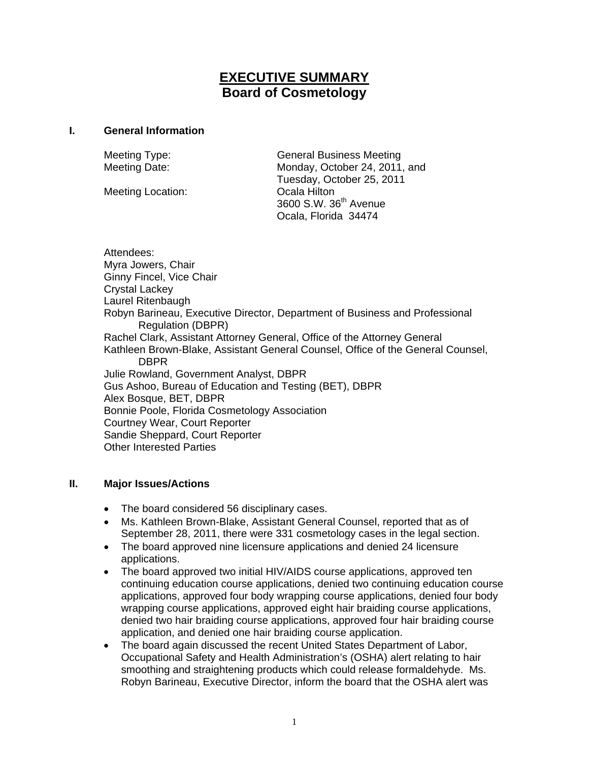# **EXECUTIVE SUMMARY Board of Cosmetology**

### **I. General Information**

Meeting Location: Cala Hilton

Meeting Type: General Business Meeting Meeting Date: Monday, October 24, 2011, and Tuesday, October 25, 2011 3600 S.W. 36th Avenue Ocala, Florida 34474

Attendees: Myra Jowers, Chair Ginny Fincel, Vice Chair Crystal Lackey Laurel Ritenbaugh Robyn Barineau, Executive Director, Department of Business and Professional Regulation (DBPR) Rachel Clark, Assistant Attorney General, Office of the Attorney General Kathleen Brown-Blake, Assistant General Counsel, Office of the General Counsel, DBPR Julie Rowland, Government Analyst, DBPR Gus Ashoo, Bureau of Education and Testing (BET), DBPR Alex Bosque, BET, DBPR Bonnie Poole, Florida Cosmetology Association Courtney Wear, Court Reporter Sandie Sheppard, Court Reporter Other Interested Parties

## **II. Major Issues/Actions**

- The board considered 56 disciplinary cases.
- Ms. Kathleen Brown-Blake, Assistant General Counsel, reported that as of September 28, 2011, there were 331 cosmetology cases in the legal section.
- The board approved nine licensure applications and denied 24 licensure applications.
- The board approved two initial HIV/AIDS course applications, approved ten continuing education course applications, denied two continuing education course applications, approved four body wrapping course applications, denied four body wrapping course applications, approved eight hair braiding course applications, denied two hair braiding course applications, approved four hair braiding course application, and denied one hair braiding course application.
- The board again discussed the recent United States Department of Labor, Occupational Safety and Health Administration's (OSHA) alert relating to hair smoothing and straightening products which could release formaldehyde. Ms. Robyn Barineau, Executive Director, inform the board that the OSHA alert was